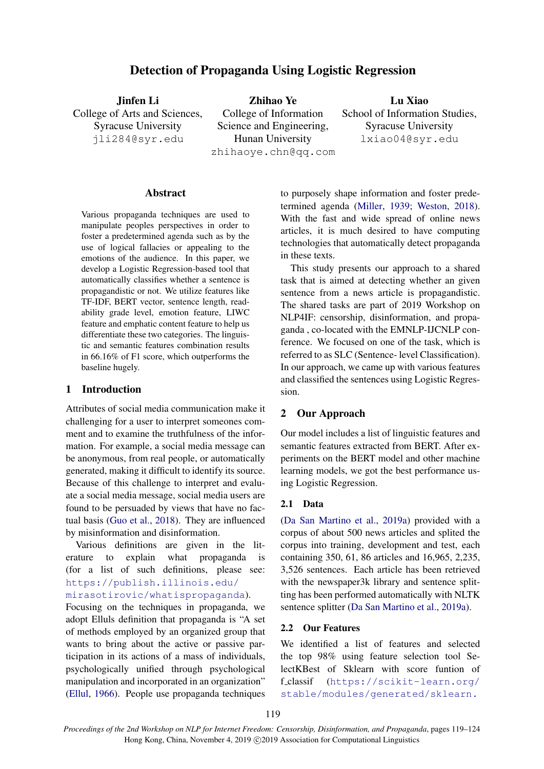# Detection of Propaganda Using Logistic Regression

Jinfen Li College of Arts and Sciences, Syracuse University jli284@syr.edu

Zhihao Ye College of Information Science and Engineering, Hunan University zhihaoye.chn@qq.com

Lu Xiao School of Information Studies, Syracuse University lxiao04@syr.edu

#### **Abstract**

Various propaganda techniques are used to manipulate peoples perspectives in order to foster a predetermined agenda such as by the use of logical fallacies or appealing to the emotions of the audience. In this paper, we develop a Logistic Regression-based tool that automatically classifies whether a sentence is propagandistic or not. We utilize features like TF-IDF, BERT vector, sentence length, readability grade level, emotion feature, LIWC feature and emphatic content feature to help us differentiate these two categories. The linguistic and semantic features combination results in 66.16% of F1 score, which outperforms the baseline hugely.

### 1 Introduction

Attributes of social media communication make it challenging for a user to interpret someones comment and to examine the truthfulness of the information. For example, a social media message can be anonymous, from real people, or automatically generated, making it difficult to identify its source. Because of this challenge to interpret and evaluate a social media message, social media users are found to be persuaded by views that have no factual basis [\(Guo et al.,](#page-5-0) [2018\)](#page-5-0). They are influenced by misinformation and disinformation.

Various definitions are given in the literature to explain what propaganda is (for a list of such definitions, please see: [https://publish.illinois.edu/](https://publish.illinois.edu/mirasotirovic/whatispropaganda) [mirasotirovic/whatispropaganda](https://publish.illinois.edu/mirasotirovic/whatispropaganda)).

Focusing on the techniques in propaganda, we adopt Elluls definition that propaganda is "A set of methods employed by an organized group that wants to bring about the active or passive participation in its actions of a mass of individuals, psychologically unified through psychological manipulation and incorporated in an organization" [\(Ellul,](#page-4-0) [1966\)](#page-4-0). People use propaganda techniques to purposely shape information and foster predetermined agenda [\(Miller,](#page-5-1) [1939;](#page-5-1) [Weston,](#page-5-2) [2018\)](#page-5-2). With the fast and wide spread of online news articles, it is much desired to have computing technologies that automatically detect propaganda in these texts.

This study presents our approach to a shared task that is aimed at detecting whether an given sentence from a news article is propagandistic. The shared tasks are part of 2019 Workshop on NLP4IF: censorship, disinformation, and propaganda , co-located with the EMNLP-IJCNLP conference. We focused on one of the task, which is referred to as SLC (Sentence- level Classification). In our approach, we came up with various features and classified the sentences using Logistic Regression.

# 2 Our Approach

Our model includes a list of linguistic features and semantic features extracted from BERT. After experiments on the BERT model and other machine learning models, we got the best performance using Logistic Regression.

### 2.1 Data

[\(Da San Martino et al.,](#page-4-1) [2019a\)](#page-4-1) provided with a corpus of about 500 news articles and splited the corpus into training, development and test, each containing 350, 61, 86 articles and 16,965, 2,235, 3,526 sentences. Each article has been retrieved with the newspaper3k library and sentence splitting has been performed automatically with NLTK sentence splitter [\(Da San Martino et al.,](#page-4-1) [2019a\)](#page-4-1).

# 2.2 Our Features

We identified a list of features and selected the top 98% using feature selection tool SelectKBest of Sklearn with score funtion of f classif ([https://scikit-learn.org/](https://scikit-learn.org/stable/modules/generated/sklearn.feature_selection.SelectKBest.html) [stable/modules/generated/sklearn.](https://scikit-learn.org/stable/modules/generated/sklearn.feature_selection.SelectKBest.html)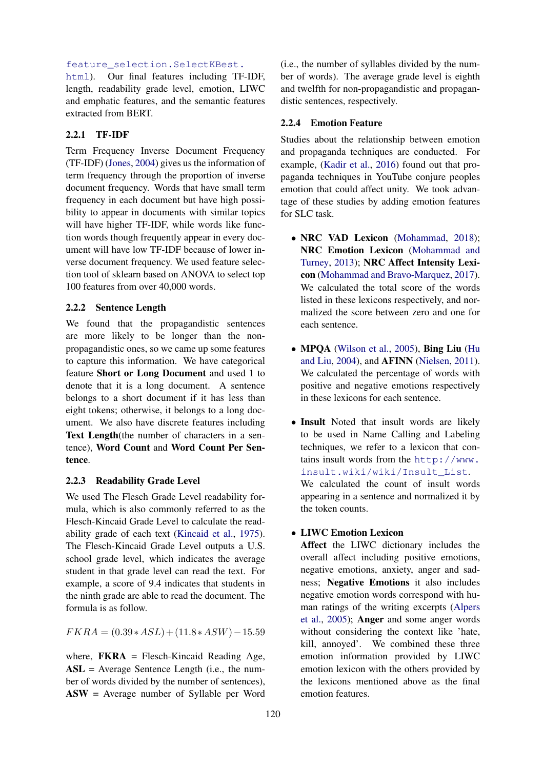# [feature\\_selection.SelectKBest.](https://scikit-learn.org/stable/modules/generated/sklearn.feature_selection.SelectKBest.html)

[html](https://scikit-learn.org/stable/modules/generated/sklearn.feature_selection.SelectKBest.html)). Our final features including TF-IDF, length, readability grade level, emotion, LIWC and emphatic features, and the semantic features extracted from BERT.

# 2.2.1 TF-IDF

Term Frequency Inverse Document Frequency (TF-IDF) [\(Jones,](#page-5-3) [2004\)](#page-5-3) gives us the information of term frequency through the proportion of inverse document frequency. Words that have small term frequency in each document but have high possibility to appear in documents with similar topics will have higher TF-IDF, while words like function words though frequently appear in every document will have low TF-IDF because of lower inverse document frequency. We used feature selection tool of sklearn based on ANOVA to select top 100 features from over 40,000 words.

# 2.2.2 Sentence Length

We found that the propagandistic sentences are more likely to be longer than the nonpropagandistic ones, so we came up some features to capture this information. We have categorical feature Short or Long Document and used 1 to denote that it is a long document. A sentence belongs to a short document if it has less than eight tokens; otherwise, it belongs to a long document. We also have discrete features including Text Length(the number of characters in a sentence), Word Count and Word Count Per Sentence.

#### 2.2.3 Readability Grade Level

We used The Flesch Grade Level readability formula, which is also commonly referred to as the Flesch-Kincaid Grade Level to calculate the readability grade of each text [\(Kincaid et al.,](#page-5-4) [1975\)](#page-5-4). The Flesch-Kincaid Grade Level outputs a U.S. school grade level, which indicates the average student in that grade level can read the text. For example, a score of 9.4 indicates that students in the ninth grade are able to read the document. The formula is as follow.

 $FKRA = (0.39 * ASL) + (11.8 * ASW) - 15.59$ 

where,  $FKRA$  = Flesch-Kincaid Reading Age, ASL = Average Sentence Length (i.e., the number of words divided by the number of sentences), ASW = Average number of Syllable per Word (i.e., the number of syllables divided by the number of words). The average grade level is eighth and twelfth for non-propagandistic and propagandistic sentences, respectively.

### 2.2.4 Emotion Feature

Studies about the relationship between emotion and propaganda techniques are conducted. For example, [\(Kadir et al.,](#page-5-5) [2016\)](#page-5-5) found out that propaganda techniques in YouTube conjure peoples emotion that could affect unity. We took advantage of these studies by adding emotion features for SLC task.

- NRC VAD Lexicon [\(Mohammad,](#page-5-6) [2018\)](#page-5-6); NRC Emotion Lexicon [\(Mohammad and](#page-5-7) [Turney,](#page-5-7) [2013\)](#page-5-7); NRC Affect Intensity Lexicon [\(Mohammad and Bravo-Marquez,](#page-5-8) [2017\)](#page-5-8). We calculated the total score of the words listed in these lexicons respectively, and normalized the score between zero and one for each sentence.
- MPQA [\(Wilson et al.,](#page-5-9) [2005\)](#page-5-9), Bing Liu [\(Hu](#page-5-10) [and Liu,](#page-5-10) [2004\)](#page-5-10), and AFINN [\(Nielsen,](#page-5-11) [2011\)](#page-5-11). We calculated the percentage of words with positive and negative emotions respectively in these lexicons for each sentence.
- Insult Noted that insult words are likely to be used in Name Calling and Labeling techniques, we refer to a lexicon that contains insult words from the [http://www.](http://www.insult.wiki/wiki/Insult_List) [insult.wiki/wiki/Insult\\_List](http://www.insult.wiki/wiki/Insult_List). We calculated the count of insult words appearing in a sentence and normalized it by the token counts.

# • LIWC Emotion Lexicon

Affect the LIWC dictionary includes the overall affect including positive emotions, negative emotions, anxiety, anger and sadness; Negative Emotions it also includes negative emotion words correspond with human ratings of the writing excerpts [\(Alpers](#page-4-2) [et al.,](#page-4-2) [2005\)](#page-4-2); Anger and some anger words without considering the context like 'hate, kill, annoyed'. We combined these three emotion information provided by LIWC emotion lexicon with the others provided by the lexicons mentioned above as the final emotion features.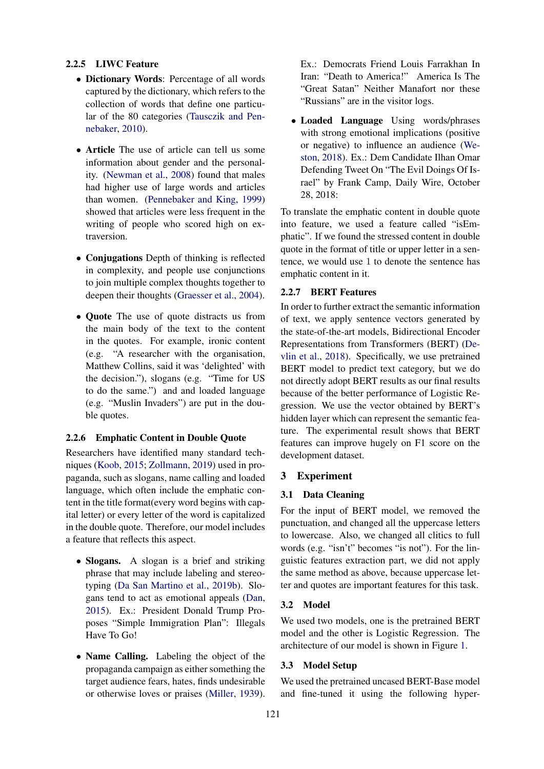# 2.2.5 LIWC Feature

- Dictionary Words: Percentage of all words captured by the dictionary, which refers to the collection of words that define one particular of the 80 categories [\(Tausczik and Pen](#page-5-12)[nebaker,](#page-5-12) [2010\)](#page-5-12).
- Article The use of article can tell us some information about gender and the personality. [\(Newman et al.,](#page-5-13) [2008\)](#page-5-13) found that males had higher use of large words and articles than women. [\(Pennebaker and King,](#page-5-14) [1999\)](#page-5-14) showed that articles were less frequent in the writing of people who scored high on extraversion.
- Conjugations Depth of thinking is reflected in complexity, and people use conjunctions to join multiple complex thoughts together to deepen their thoughts [\(Graesser et al.,](#page-5-15) [2004\)](#page-5-15).
- **Ouote** The use of quote distracts us from the main body of the text to the content in the quotes. For example, ironic content (e.g. "A researcher with the organisation, Matthew Collins, said it was 'delighted' with the decision."), slogans (e.g. "Time for US to do the same.") and and loaded language (e.g. "Muslin Invaders") are put in the double quotes.

# <span id="page-2-0"></span>2.2.6 Emphatic Content in Double Quote

Researchers have identified many standard techniques [\(Koob,](#page-5-16) [2015;](#page-5-16) [Zollmann,](#page-5-17) [2019\)](#page-5-17) used in propaganda, such as slogans, name calling and loaded language, which often include the emphatic content in the title format(every word begins with capital letter) or every letter of the word is capitalized in the double quote. Therefore, our model includes a feature that reflects this aspect.

- Slogans. A slogan is a brief and striking phrase that may include labeling and stereotyping [\(Da San Martino et al.,](#page-4-3) [2019b\)](#page-4-3). Slogans tend to act as emotional appeals [\(Dan,](#page-4-4) [2015\)](#page-4-4). Ex.: President Donald Trump Proposes "Simple Immigration Plan": Illegals Have To Go!
- Name Calling. Labeling the object of the propaganda campaign as either something the target audience fears, hates, finds undesirable or otherwise loves or praises [\(Miller,](#page-5-1) [1939\)](#page-5-1).

Ex.: Democrats Friend Louis Farrakhan In Iran: "Death to America!" America Is The "Great Satan" Neither Manafort nor these "Russians" are in the visitor logs.

• Loaded Language Using words/phrases with strong emotional implications (positive or negative) to influence an audience [\(We](#page-5-2)[ston,](#page-5-2) [2018\)](#page-5-2). Ex.: Dem Candidate Ilhan Omar Defending Tweet On "The Evil Doings Of Israel" by Frank Camp, Daily Wire, October 28, 2018:

To translate the emphatic content in double quote into feature, we used a feature called "isEmphatic". If we found the stressed content in double quote in the format of title or upper letter in a sentence, we would use 1 to denote the sentence has emphatic content in it.

#### 2.2.7 BERT Features

In order to further extract the semantic information of text, we apply sentence vectors generated by the state-of-the-art models, Bidirectional Encoder Representations from Transformers (BERT) [\(De](#page-4-5)[vlin et al.,](#page-4-5) [2018\)](#page-4-5). Specifically, we use pretrained BERT model to predict text category, but we do not directly adopt BERT results as our final results because of the better performance of Logistic Regression. We use the vector obtained by BERT's hidden layer which can represent the semantic feature. The experimental result shows that BERT features can improve hugely on F1 score on the development dataset.

#### 3 Experiment

#### 3.1 Data Cleaning

For the input of BERT model, we removed the punctuation, and changed all the uppercase letters to lowercase. Also, we changed all clitics to full words (e.g. "isn't" becomes "is not"). For the linguistic features extraction part, we did not apply the same method as above, because uppercase letter and quotes are important features for this task.

### 3.2 Model

We used two models, one is the pretrained BERT model and the other is Logistic Regression. The architecture of our model is shown in Figure [1.](#page-3-0)

#### 3.3 Model Setup

We used the pretrained uncased BERT-Base model and fine-tuned it using the following hyper-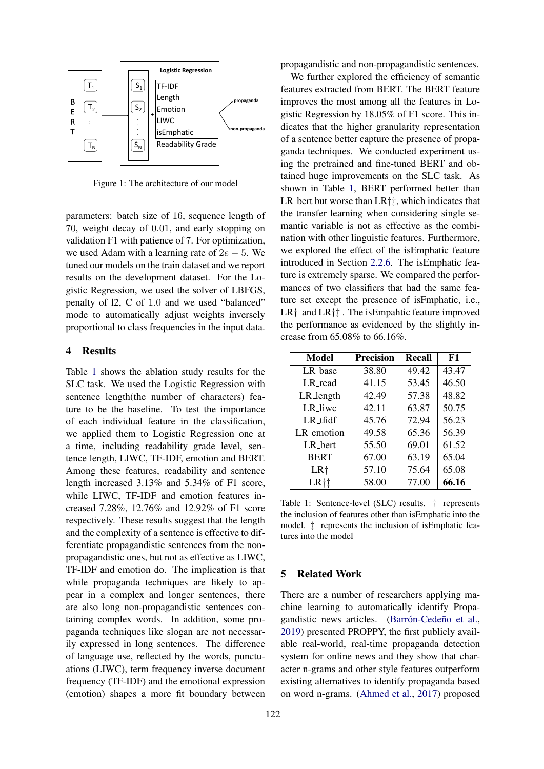<span id="page-3-0"></span>

Figure 1: The architecture of our model

parameters: batch size of 16, sequence length of 70, weight decay of 0.01, and early stopping on validation F1 with patience of 7. For optimization, we used Adam with a learning rate of  $2e - 5$ . We tuned our models on the train dataset and we report results on the development dataset. For the Logistic Regression, we used the solver of LBFGS, penalty of l2, C of 1.0 and we used "balanced" mode to automatically adjust weights inversely proportional to class frequencies in the input data.

### 4 Results

Table [1](#page-3-1) shows the ablation study results for the SLC task. We used the Logistic Regression with sentence length(the number of characters) feature to be the baseline. To test the importance of each individual feature in the classification, we applied them to Logistic Regression one at a time, including readability grade level, sentence length, LIWC, TF-IDF, emotion and BERT. Among these features, readability and sentence length increased 3.13% and 5.34% of F1 score, while LIWC, TF-IDF and emotion features increased 7.28%, 12.76% and 12.92% of F1 score respectively. These results suggest that the length and the complexity of a sentence is effective to differentiate propagandistic sentences from the nonpropagandistic ones, but not as effective as LIWC, TF-IDF and emotion do. The implication is that while propaganda techniques are likely to appear in a complex and longer sentences, there are also long non-propagandistic sentences containing complex words. In addition, some propaganda techniques like slogan are not necessarily expressed in long sentences. The difference of language use, reflected by the words, punctuations (LIWC), term frequency inverse document frequency (TF-IDF) and the emotional expression (emotion) shapes a more fit boundary between propagandistic and non-propagandistic sentences.

We further explored the efficiency of semantic features extracted from BERT. The BERT feature improves the most among all the features in Logistic Regression by 18.05% of F1 score. This indicates that the higher granularity representation of a sentence better capture the presence of propaganda techniques. We conducted experiment using the pretrained and fine-tuned BERT and obtained huge improvements on the SLC task. As shown in Table [1,](#page-3-1) BERT performed better than LR bert but worse than  $LR\ddagger\ddagger$ , which indicates that the transfer learning when considering single semantic variable is not as effective as the combination with other linguistic features. Furthermore, we explored the effect of the isEmphatic feature introduced in Section [2.2.6.](#page-2-0) The isEmphatic feature is extremely sparse. We compared the performances of two classifiers that had the same feature set except the presence of isFmphatic, i.e.,  $LR^{\dagger}$  and  $LR^{\dagger}$ . The is Empahtic feature improved the performance as evidenced by the slightly increase from 65.08% to 66.16%.

<span id="page-3-1"></span>

| Model           | <b>Precision</b> | Recall | F1    |
|-----------------|------------------|--------|-------|
| LR_base         | 38.80            | 49.42  | 43.47 |
| LR read         | 41.15            | 53.45  | 46.50 |
| LR_length       | 42.49            | 57.38  | 48.82 |
| LR liwc         | 42.11            | 63.87  | 50.75 |
| $LR$ tfidf      | 45.76            | 72.94  | 56.23 |
| LR_emotion      | 49.58            | 65.36  | 56.39 |
| LR_bert         | 55.50            | 69.01  | 61.52 |
| <b>BERT</b>     | 67.00            | 63.19  | 65.04 |
| LR <sup>+</sup> | 57.10            | 75.64  | 65.08 |
| LR <sup>+</sup> | 58.00            | 77.00  | 66.16 |

Table 1: Sentence-level (SLC) results. † represents the inclusion of features other than isEmphatic into the model. ‡ represents the inclusion of isEmphatic features into the model

# 5 Related Work

There are a number of researchers applying machine learning to automatically identify Propagandistic news articles. (Barrón-Cedeño et al., [2019\)](#page-4-6) presented PROPPY, the first publicly available real-world, real-time propaganda detection system for online news and they show that character n-grams and other style features outperform existing alternatives to identify propaganda based on word n-grams. [\(Ahmed et al.,](#page-4-7) [2017\)](#page-4-7) proposed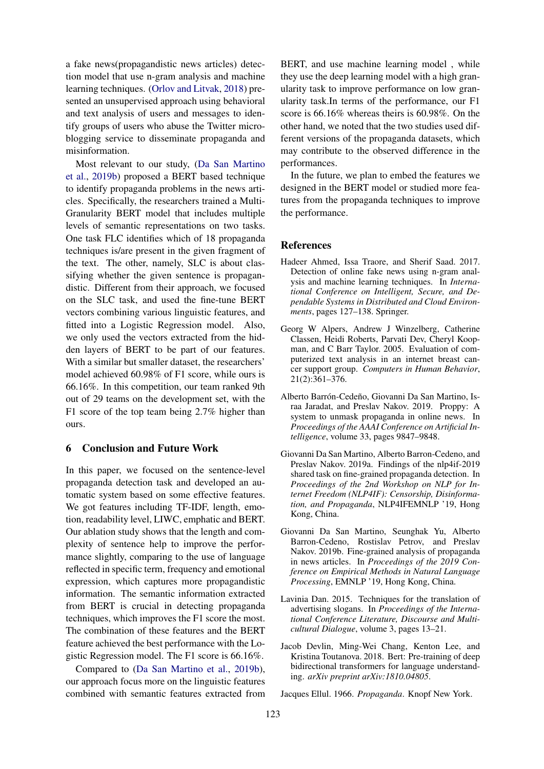a fake news(propagandistic news articles) detection model that use n-gram analysis and machine learning techniques. [\(Orlov and Litvak,](#page-5-18) [2018\)](#page-5-18) presented an unsupervised approach using behavioral and text analysis of users and messages to identify groups of users who abuse the Twitter microblogging service to disseminate propaganda and misinformation.

Most relevant to our study, [\(Da San Martino](#page-4-3) [et al.,](#page-4-3) [2019b\)](#page-4-3) proposed a BERT based technique to identify propaganda problems in the news articles. Specifically, the researchers trained a Multi-Granularity BERT model that includes multiple levels of semantic representations on two tasks. One task FLC identifies which of 18 propaganda techniques is/are present in the given fragment of the text. The other, namely, SLC is about classifying whether the given sentence is propagandistic. Different from their approach, we focused on the SLC task, and used the fine-tune BERT vectors combining various linguistic features, and fitted into a Logistic Regression model. Also, we only used the vectors extracted from the hidden layers of BERT to be part of our features. With a similar but smaller dataset, the researchers' model achieved 60.98% of F1 score, while ours is 66.16%. In this competition, our team ranked 9th out of 29 teams on the development set, with the F1 score of the top team being 2.7% higher than ours.

# 6 Conclusion and Future Work

In this paper, we focused on the sentence-level propaganda detection task and developed an automatic system based on some effective features. We got features including TF-IDF, length, emotion, readability level, LIWC, emphatic and BERT. Our ablation study shows that the length and complexity of sentence help to improve the performance slightly, comparing to the use of language reflected in specific term, frequency and emotional expression, which captures more propagandistic information. The semantic information extracted from BERT is crucial in detecting propaganda techniques, which improves the F1 score the most. The combination of these features and the BERT feature achieved the best performance with the Logistic Regression model. The F1 score is 66.16%.

Compared to [\(Da San Martino et al.,](#page-4-3) [2019b\)](#page-4-3), our approach focus more on the linguistic features combined with semantic features extracted from

BERT, and use machine learning model , while they use the deep learning model with a high granularity task to improve performance on low granularity task.In terms of the performance, our F1 score is 66.16% whereas theirs is 60.98%. On the other hand, we noted that the two studies used different versions of the propaganda datasets, which may contribute to the observed difference in the performances.

In the future, we plan to embed the features we designed in the BERT model or studied more features from the propaganda techniques to improve the performance.

### References

- <span id="page-4-7"></span>Hadeer Ahmed, Issa Traore, and Sherif Saad. 2017. Detection of online fake news using n-gram analysis and machine learning techniques. In *International Conference on Intelligent, Secure, and Dependable Systems in Distributed and Cloud Environments*, pages 127–138. Springer.
- <span id="page-4-2"></span>Georg W Alpers, Andrew J Winzelberg, Catherine Classen, Heidi Roberts, Parvati Dev, Cheryl Koopman, and C Barr Taylor. 2005. Evaluation of computerized text analysis in an internet breast cancer support group. *Computers in Human Behavior*, 21(2):361–376.
- <span id="page-4-6"></span>Alberto Barrón-Cedeño, Giovanni Da San Martino, Israa Jaradat, and Preslav Nakov. 2019. Proppy: A system to unmask propaganda in online news. In *Proceedings of the AAAI Conference on Artificial Intelligence*, volume 33, pages 9847–9848.
- <span id="page-4-1"></span>Giovanni Da San Martino, Alberto Barron-Cedeno, and Preslav Nakov. 2019a. Findings of the nlp4if-2019 shared task on fine-grained propaganda detection. In *Proceedings of the 2nd Workshop on NLP for Internet Freedom (NLP4IF): Censorship, Disinformation, and Propaganda*, NLP4IFEMNLP '19, Hong Kong, China.
- <span id="page-4-3"></span>Giovanni Da San Martino, Seunghak Yu, Alberto Barron-Cedeno, Rostislav Petrov, and Preslav Nakov. 2019b. Fine-grained analysis of propaganda in news articles. In *Proceedings of the 2019 Conference on Empirical Methods in Natural Language Processing*, EMNLP '19, Hong Kong, China.
- <span id="page-4-4"></span>Lavinia Dan. 2015. Techniques for the translation of advertising slogans. In *Proceedings of the International Conference Literature, Discourse and Multicultural Dialogue*, volume 3, pages 13–21.
- <span id="page-4-5"></span>Jacob Devlin, Ming-Wei Chang, Kenton Lee, and Kristina Toutanova. 2018. Bert: Pre-training of deep bidirectional transformers for language understanding. *arXiv preprint arXiv:1810.04805*.

<span id="page-4-0"></span>Jacques Ellul. 1966. *Propaganda*. Knopf New York.